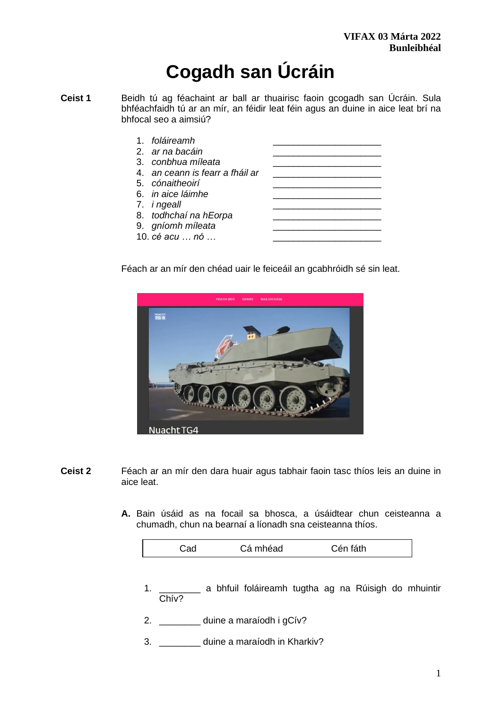# **Cogadh san Úcráin**

**Ceist 1** Beidh tú ag féachaint ar ball ar thuairisc faoin gcogadh san Úcráin. Sula bhféachfaidh tú ar an mír, an féidir leat féin agus an duine in aice leat brí na bhfocal seo a aimsiú?

| 1. foláireamh                   |  |
|---------------------------------|--|
| 2. ar na bacáin                 |  |
| 3. conbhua míleata              |  |
| 4. an ceann is fearr a fháil ar |  |
| 5. cónaitheoirí                 |  |
| 6. <i>in aice láimhe</i>        |  |
| 7. <i>i ngeall</i>              |  |
| 8. todhchaí na hEorpa           |  |
| 9. gníomh míleata               |  |
| 10. cé acu  nó                  |  |

Féach ar an mír den chéad uair le feiceáil an gcabhróidh sé sin leat.



- **Ceist 2** Féach ar an mír den dara huair agus tabhair faoin tasc thíos leis an duine in aice leat.
	- **A.** Bain úsáid as na focail sa bhosca, a úsáidtear chun ceisteanna a chumadh, chun na bearnaí a líonadh sna ceisteanna thíos.

|  | Cá mhéad | fáth<br>∴èn |  |
|--|----------|-------------|--|
|  |          |             |  |

- 1. \_\_\_\_\_\_\_\_ a bhfuil foláireamh tugtha ag na Rúisigh do mhuintir Chív?
- 2. \_\_\_\_\_\_\_\_ duine a maraíodh i gCív?
- 3. \_\_\_\_\_\_\_\_ duine a maraíodh in Kharkiv?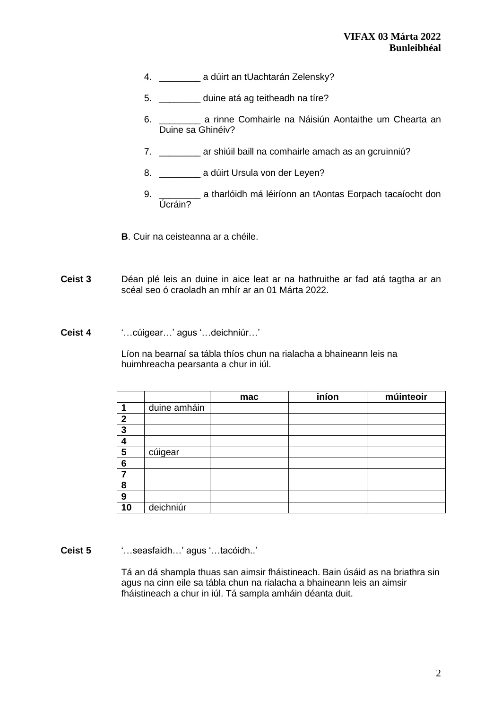- 4. \_\_\_\_\_\_\_\_\_\_\_\_ a dúirt an tUachtarán Zelensky?
- 5. \_\_\_\_\_\_\_\_ duine atá ag teitheadh na tíre?
- 6. \_\_\_\_\_\_\_\_ a rinne Comhairle na Náisiún Aontaithe um Chearta an Duine sa Ghinéiv?
- 7. \_\_\_\_\_\_\_\_ ar shiúil baill na comhairle amach as an gcruinniú?
- 8. \_\_\_\_\_\_\_\_\_\_\_ a dúirt Ursula von der Leyen?
- Allen a tharlóidh má léiríonn an tAontas Eorpach tacaíocht don 9. <del>Úcráin?</del>
- **B**. Cuir na ceisteanna ar a chéile.
- **Ceist 3** Déan plé leis an duine in aice leat ar na hathruithe ar fad atá tagtha ar an scéal seo ó craoladh an mhír ar an 01 Márta 2022.
- **Ceist 4** '…cúigear…' agus '…deichniúr…'

Líon na bearnaí sa tábla thíos chun na rialacha a bhaineann leis na huimhreacha pearsanta a chur in iúl.

|              |              | mac | iníon | múinteoir |
|--------------|--------------|-----|-------|-----------|
| 1            | duine amháin |     |       |           |
| $\mathbf{2}$ |              |     |       |           |
| 3            |              |     |       |           |
|              |              |     |       |           |
| 5            | cúigear      |     |       |           |
| 6            |              |     |       |           |
|              |              |     |       |           |
| 8            |              |     |       |           |
| 9            |              |     |       |           |
| 10           | deichniúr    |     |       |           |

**Ceist 5** '…seasfaidh…' agus '…tacóidh..'

Tá an dá shampla thuas san aimsir fháistineach. Bain úsáid as na briathra sin agus na cinn eile sa tábla chun na rialacha a bhaineann leis an aimsir fháistineach a chur in iúl. Tá sampla amháin déanta duit.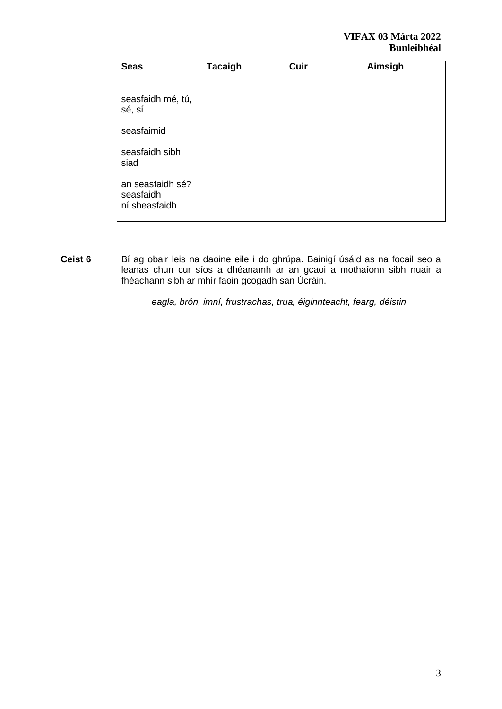| <b>Seas</b>                                    | <b>Tacaigh</b> | Cuir | Aimsigh |
|------------------------------------------------|----------------|------|---------|
|                                                |                |      |         |
| seasfaidh mé, tú,<br>sé, sí                    |                |      |         |
| seasfaimid                                     |                |      |         |
| seasfaidh sibh,<br>siad                        |                |      |         |
| an seasfaidh sé?<br>seasfaidh<br>ní sheasfaidh |                |      |         |

**Ceist 6** Bí ag obair leis na daoine eile i do ghrúpa. Bainigí úsáid as na focail seo a leanas chun cur síos a dhéanamh ar an gcaoi a mothaíonn sibh nuair a fhéachann sibh ar mhír faoin gcogadh san Úcráin.

*eagla, brón, imní, frustrachas, trua, éiginnteacht, fearg, déistin*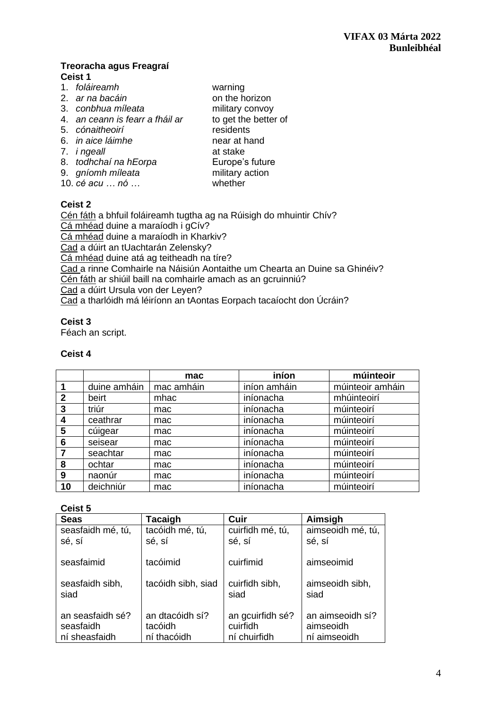## **Treoracha agus Freagraí Ceist 1**

- 1. *foláireamh* warning 2. *ar na bacáin*
- 
- 4. *an ceann is fearr a fháil ar*
- 
- 6. *in aice láimhe*
- 7. *i ngeall* at stake
- 8. *todhchaí na hEorpa* Europe's future
- 
- $10.$  *cé acu*  $\ldots$  *nó*  $\ldots$

3. *conbhua míleata*<br>
4. *an ceann is fearr a fháil ar* to get the better of 5. *cónaitheoirí* residents<br>6. *in aice láimhe* 9. *gníomh míleata* military action<br>10. *cé acu* ... *nó* ... **military** whether

# **Ceist 2**

Cén fáth a bhfuil foláireamh tugtha ag na Rúisigh do mhuintir Chív? Cá mhéad duine a maraíodh i gCív? Cá mhéad duine a maraíodh in Kharkiv? Cad a dúirt an tUachtarán Zelensky? Cá mhéad duine atá ag teitheadh na tíre? Cad a rinne Comhairle na Náisiún Aontaithe um Chearta an Duine sa Ghinéiv? Cén fáth ar shiúil baill na comhairle amach as an gcruinniú? Cad a dúirt Ursula von der Leyen? Cad a tharlóidh má léiríonn an tAontas Eorpach tacaíocht don Úcráin?

## **Ceist 3**

Féach an script.

# **Ceist 4**

|              |              | mac        | iníon        | múinteoir        |
|--------------|--------------|------------|--------------|------------------|
| -1           | duine amháin | mac amháin | iníon amháin | múinteoir amháin |
| $\mathbf{2}$ | beirt        | mhac       | iníonacha    | mhúinteoirí      |
| -3           | triúr        | mac        | iníonacha    | múinteoirí       |
| 4            | ceathrar     | mac        | iníonacha    | múinteoirí       |
| 5            | cúigear      | mac        | iníonacha    | múinteoirí       |
| 6            | seisear      | mac        | iníonacha    | múinteoirí       |
| 7            | seachtar     | mac        | iníonacha    | múinteoirí       |
| 8            | ochtar       | mac        | iníonacha    | múinteoirí       |
| 9            | naonúr       | mac        | iníonacha    | múinteoirí       |
| 10           | deichniúr    | mac        | iníonacha    | múinteoirí       |

## **Ceist 5**

| <b>Seas</b>                                    | Tacaigh                                   | Cuir                                         | Aimsigh                                       |  |
|------------------------------------------------|-------------------------------------------|----------------------------------------------|-----------------------------------------------|--|
| seasfaidh mé, tú,                              | tacóidh mé, tú,                           | cuirfidh mé, tú,                             | aimseoidh mé, tú,                             |  |
| sé, sí                                         | sé, sí                                    | sé, sí                                       | sé, sí                                        |  |
| seasfaimid                                     | tacóimid                                  | cuirfimid                                    | aimseoimid                                    |  |
| seasfaidh sibh,<br>siad                        | tacóidh sibh, siad                        | cuirfidh sibh,<br>siad                       | aimseoidh sibh,<br>siad                       |  |
| an seasfaidh sé?<br>seasfaidh<br>ní sheasfaidh | an dtacóidh sí?<br>tacóidh<br>ní thacóidh | an gcuirfidh sé?<br>cuirfidh<br>ní chuirfidh | an aimseoidh sí?<br>aimseoidh<br>ní aimseoidh |  |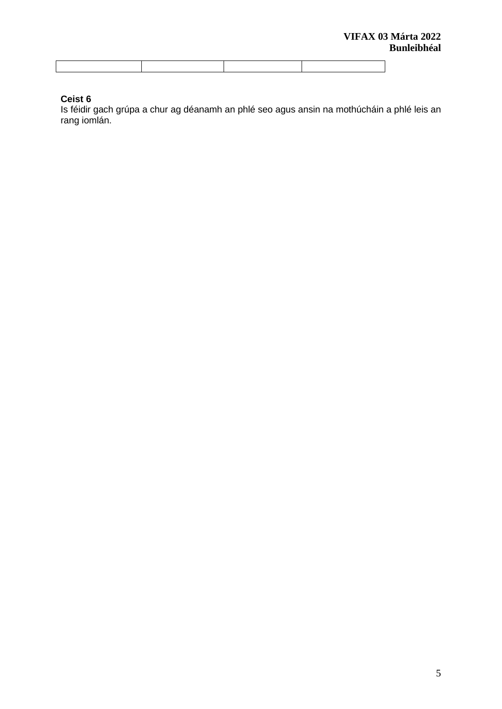# **Ceist 6**

Is féidir gach grúpa a chur ag déanamh an phlé seo agus ansin na mothúcháin a phlé leis an rang iomlán.